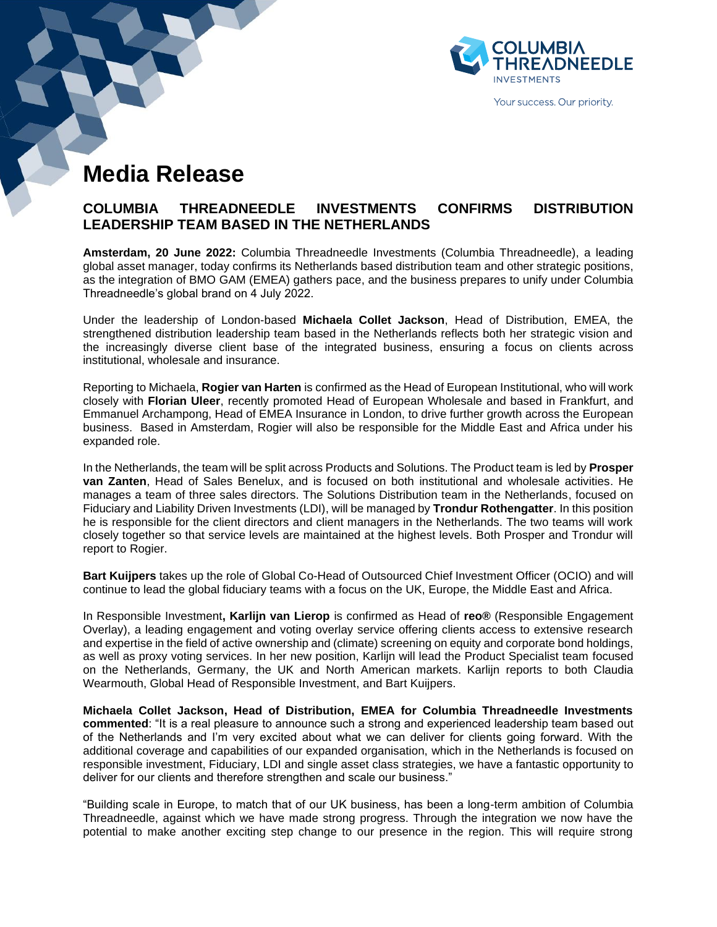

Your success. Our priority.

# **Media Release**

# **COLUMBIA THREADNEEDLE INVESTMENTS CONFIRMS DISTRIBUTION LEADERSHIP TEAM BASED IN THE NETHERLANDS**

**Amsterdam, 20 June 2022:** Columbia Threadneedle Investments (Columbia Threadneedle), a leading global asset manager, today confirms its Netherlands based distribution team and other strategic positions, as the integration of BMO GAM (EMEA) gathers pace, and the business prepares to unify under Columbia Threadneedle's global brand on 4 July 2022.

Under the leadership of London-based **Michaela Collet Jackson**, Head of Distribution, EMEA, the strengthened distribution leadership team based in the Netherlands reflects both her strategic vision and the increasingly diverse client base of the integrated business, ensuring a focus on clients across institutional, wholesale and insurance.

Reporting to Michaela, **Rogier van Harten** is confirmed as the Head of European Institutional, who will work closely with **Florian Uleer**, recently promoted Head of European Wholesale and based in Frankfurt, and Emmanuel Archampong, Head of EMEA Insurance in London, to drive further growth across the European business. Based in Amsterdam, Rogier will also be responsible for the Middle East and Africa under his expanded role.

In the Netherlands, the team will be split across Products and Solutions. The Product team is led by **Prosper van Zanten**, Head of Sales Benelux, and is focused on both institutional and wholesale activities. He manages a team of three sales directors. The Solutions Distribution team in the Netherlands, focused on Fiduciary and Liability Driven Investments (LDI), will be managed by **Trondur Rothengatter**. In this position he is responsible for the client directors and client managers in the Netherlands. The two teams will work closely together so that service levels are maintained at the highest levels. Both Prosper and Trondur will report to Rogier.

**Bart Kuijpers** takes up the role of Global Co-Head of Outsourced Chief Investment Officer (OCIO) and will continue to lead the global fiduciary teams with a focus on the UK, Europe, the Middle East and Africa.

In Responsible Investment**, Karlijn van Lierop** is confirmed as Head of **reo®** (Responsible Engagement Overlay), a leading engagement and voting overlay service offering clients access to extensive research and expertise in the field of active ownership and (climate) screening on equity and corporate bond holdings, as well as proxy voting services. In her new position, Karlijn will lead the Product Specialist team focused on the Netherlands, Germany, the UK and North American markets. Karlijn reports to both Claudia Wearmouth, Global Head of Responsible Investment, and Bart Kuijpers.

**Michaela Collet Jackson, Head of Distribution, EMEA for Columbia Threadneedle Investments commented**: "It is a real pleasure to announce such a strong and experienced leadership team based out of the Netherlands and I'm very excited about what we can deliver for clients going forward. With the additional coverage and capabilities of our expanded organisation, which in the Netherlands is focused on responsible investment, Fiduciary, LDI and single asset class strategies, we have a fantastic opportunity to deliver for our clients and therefore strengthen and scale our business."

"Building scale in Europe, to match that of our UK business, has been a long-term ambition of Columbia Threadneedle, against which we have made strong progress. Through the integration we now have the potential to make another exciting step change to our presence in the region. This will require strong